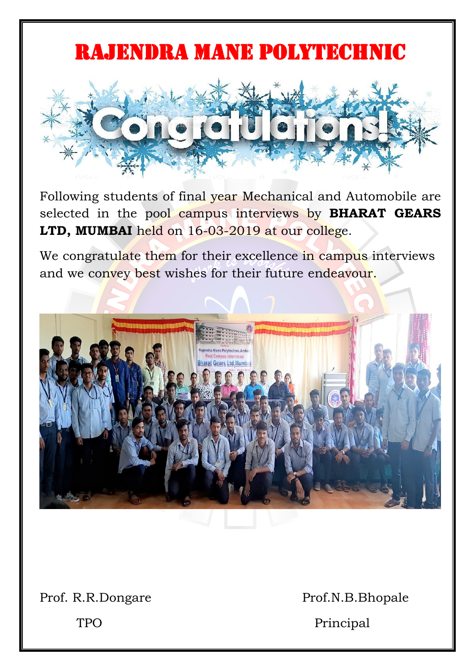## RAJENDRA MANE POLYTECHNIC



Following students of final year Mechanical and Automobile are selected in the pool campus interviews by **BHARAT GEARS LTD, MUMBAI** held on 16-03-2019 at our college.

We congratulate them for their excellence in campus interviews and we convey best wishes for their future endeavour.



Prof. R.R.Dongare Prof.N.B.Bhopale

TPO Principal